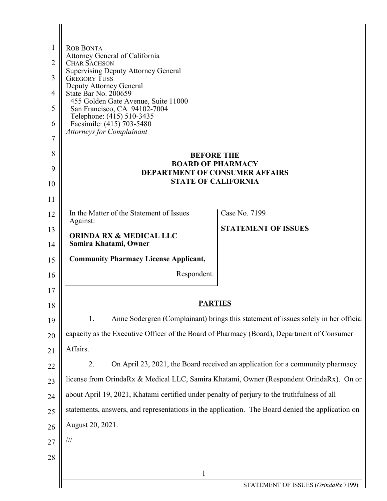| $\mathbf{1}$   | <b>ROB BONTA</b>                                                                                 |                                                                                     |  |
|----------------|--------------------------------------------------------------------------------------------------|-------------------------------------------------------------------------------------|--|
| 2              | Attorney General of California<br><b>CHAR SACHSON</b>                                            |                                                                                     |  |
| 3              | <b>Supervising Deputy Attorney General</b><br><b>GREGORY TUSS</b>                                |                                                                                     |  |
| 4              | Deputy Attorney General<br>State Bar No. 200659                                                  |                                                                                     |  |
| 5              | 455 Golden Gate Avenue, Suite 11000<br>San Francisco, CA 94102-7004                              |                                                                                     |  |
| 6              | Telephone: (415) 510-3435<br>Facsimile: (415) 703-5480<br><b>Attorneys for Complainant</b>       |                                                                                     |  |
| $\overline{7}$ |                                                                                                  |                                                                                     |  |
| 8              | <b>BEFORE THE</b>                                                                                |                                                                                     |  |
| 9              | <b>BOARD OF PHARMACY</b><br><b>DEPARTMENT OF CONSUMER AFFAIRS</b>                                |                                                                                     |  |
| 10             | <b>STATE OF CALIFORNIA</b>                                                                       |                                                                                     |  |
| 11             |                                                                                                  |                                                                                     |  |
| 12             | In the Matter of the Statement of Issues<br>Against:                                             | Case No. 7199                                                                       |  |
| 13<br>14       | <b>ORINDA RX &amp; MEDICAL LLC</b><br>Samira Khatami, Owner                                      | <b>STATEMENT OF ISSUES</b>                                                          |  |
| 15             | <b>Community Pharmacy License Applicant,</b>                                                     |                                                                                     |  |
| 16             | Respondent.                                                                                      |                                                                                     |  |
| 17             |                                                                                                  |                                                                                     |  |
| 18             | <b>PARTIES</b>                                                                                   |                                                                                     |  |
| 19             | 1.                                                                                               | Anne Sodergren (Complainant) brings this statement of issues solely in her official |  |
| 20             | capacity as the Executive Officer of the Board of Pharmacy (Board), Department of Consumer       |                                                                                     |  |
| 21             | Affairs.                                                                                         |                                                                                     |  |
| 22             | 2.                                                                                               | On April 23, 2021, the Board received an application for a community pharmacy       |  |
| 23             | license from OrindaRx & Medical LLC, Samira Khatami, Owner (Respondent OrindaRx). On or          |                                                                                     |  |
| 24             | about April 19, 2021, Khatami certified under penalty of perjury to the truthfulness of all      |                                                                                     |  |
| 25             | statements, answers, and representations in the application. The Board denied the application on |                                                                                     |  |
| 26             | August 20, 2021.                                                                                 |                                                                                     |  |
| 27             | $\frac{1}{1}$                                                                                    |                                                                                     |  |
| 28             |                                                                                                  |                                                                                     |  |
|                | $\mathbf{1}$                                                                                     |                                                                                     |  |
|                |                                                                                                  | STATEMENT OF ISSUES (OrindaRx 7199)                                                 |  |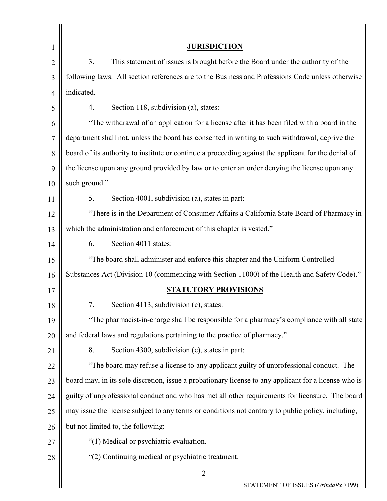| $\mathbf 1$    | <b>JURISDICTION</b>                                                                                   |  |
|----------------|-------------------------------------------------------------------------------------------------------|--|
| $\overline{2}$ | 3.<br>This statement of issues is brought before the Board under the authority of the                 |  |
| 3              | following laws. All section references are to the Business and Professions Code unless otherwise      |  |
| 4              | indicated.                                                                                            |  |
| 5              | Section 118, subdivision (a), states:<br>4.                                                           |  |
| 6              | "The withdrawal of an application for a license after it has been filed with a board in the           |  |
| 7              | department shall not, unless the board has consented in writing to such withdrawal, deprive the       |  |
| 8              | board of its authority to institute or continue a proceeding against the applicant for the denial of  |  |
| 9              | the license upon any ground provided by law or to enter an order denying the license upon any         |  |
| 10             | such ground."                                                                                         |  |
| 11             | 5.<br>Section 4001, subdivision (a), states in part:                                                  |  |
| 12             | "There is in the Department of Consumer Affairs a California State Board of Pharmacy in               |  |
| 13             | which the administration and enforcement of this chapter is vested."                                  |  |
| 14             | Section 4011 states:<br>6.                                                                            |  |
| 15             | "The board shall administer and enforce this chapter and the Uniform Controlled                       |  |
| 16             | Substances Act (Division 10 (commencing with Section 11000) of the Health and Safety Code)."          |  |
| 17             | <b>STATUTORY PROVISIONS</b>                                                                           |  |
| 18             | Section 4113, subdivision (c), states:                                                                |  |
| 19             | "The pharmacist-in-charge shall be responsible for a pharmacy's compliance with all state             |  |
| 20             | and federal laws and regulations pertaining to the practice of pharmacy."                             |  |
| 21             | 8.<br>Section 4300, subdivision (c), states in part:                                                  |  |
| 22             | "The board may refuse a license to any applicant guilty of unprofessional conduct. The                |  |
| 23             | board may, in its sole discretion, issue a probationary license to any applicant for a license who is |  |
| 24             | guilty of unprofessional conduct and who has met all other requirements for licensure. The board      |  |
| 25             | may issue the license subject to any terms or conditions not contrary to public policy, including,    |  |
| 26             | but not limited to, the following:                                                                    |  |
| 27             | "(1) Medical or psychiatric evaluation.                                                               |  |
| 28             | "(2) Continuing medical or psychiatric treatment.                                                     |  |
|                | $\overline{2}$                                                                                        |  |
|                | STATEMENT OF ISSUES (OrindaRx 7199)                                                                   |  |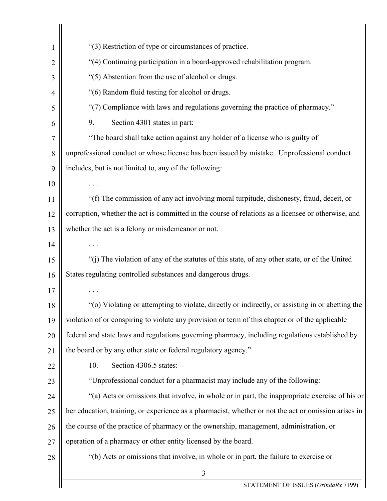| 1              | "(3) Restriction of type or circumstances of practice.                                               |  |
|----------------|------------------------------------------------------------------------------------------------------|--|
| $\overline{2}$ | "(4) Continuing participation in a board-approved rehabilitation program.                            |  |
| 3              | "(5) Abstention from the use of alcohol or drugs.                                                    |  |
| 4              | "(6) Random fluid testing for alcohol or drugs.                                                      |  |
| 5              | "(7) Compliance with laws and regulations governing the practice of pharmacy."                       |  |
| 6              | 9.<br>Section 4301 states in part:                                                                   |  |
| 7              | "The board shall take action against any holder of a license who is guilty of                        |  |
| 8              | unprofessional conduct or whose license has been issued by mistake. Unprofessional conduct           |  |
| 9              | includes, but is not limited to, any of the following:                                               |  |
| 10             |                                                                                                      |  |
| 11             | "(f) The commission of any act involving moral turpitude, dishonesty, fraud, deceit, or              |  |
| 12             | corruption, whether the act is committed in the course of relations as a licensee or otherwise, and  |  |
| 13             | whether the act is a felony or misdemeanor or not.                                                   |  |
| 14             |                                                                                                      |  |
| 15             | "(j) The violation of any of the statutes of this state, of any other state, or of the United        |  |
| 16             | States regulating controlled substances and dangerous drugs.                                         |  |
| 17             |                                                                                                      |  |
| 18             | "(o) Violating or attempting to violate, directly or indirectly, or assisting in or abetting the     |  |
| 19             | violation of or conspiring to violate any provision or term of this chapter or of the applicable     |  |
| 20             | federal and state laws and regulations governing pharmacy, including regulations established by      |  |
| 21             | the board or by any other state or federal regulatory agency."                                       |  |
| 22             | 10.<br>Section 4306.5 states:                                                                        |  |
| 23             | "Unprofessional conduct for a pharmacist may include any of the following:                           |  |
| 24             | "(a) Acts or omissions that involve, in whole or in part, the inappropriate exercise of his or       |  |
| 25             | her education, training, or experience as a pharmacist, whether or not the act or omission arises in |  |
| 26             | the course of the practice of pharmacy or the ownership, management, administration, or              |  |
| 27             | operation of a pharmacy or other entity licensed by the board.                                       |  |
| 28             | "(b) Acts or omissions that involve, in whole or in part, the failure to exercise or                 |  |
|                | 3                                                                                                    |  |
|                | STATEMENT OF ISSUES (OrindaRx 7199)                                                                  |  |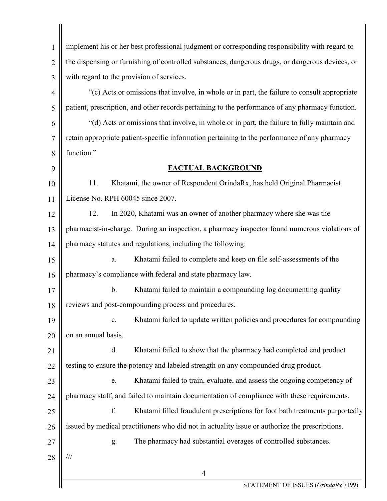| $\mathbf{1}$   | implement his or her best professional judgment or corresponding responsibility with regard to   |  |  |
|----------------|--------------------------------------------------------------------------------------------------|--|--|
| $\overline{2}$ | the dispensing or furnishing of controlled substances, dangerous drugs, or dangerous devices, or |  |  |
| 3              | with regard to the provision of services.                                                        |  |  |
| 4              | "(c) Acts or omissions that involve, in whole or in part, the failure to consult appropriate     |  |  |
| 5              | patient, prescription, and other records pertaining to the performance of any pharmacy function. |  |  |
| 6              | "(d) Acts or omissions that involve, in whole or in part, the failure to fully maintain and      |  |  |
| 7              | retain appropriate patient-specific information pertaining to the performance of any pharmacy    |  |  |
| 8              | function."                                                                                       |  |  |
| 9              | FACTUAL BACKGROUND                                                                               |  |  |
| 10             | 11.<br>Khatami, the owner of Respondent OrindaRx, has held Original Pharmacist                   |  |  |
| 11             | License No. RPH 60045 since 2007.                                                                |  |  |
| 12             | 12.<br>In 2020, Khatami was an owner of another pharmacy where she was the                       |  |  |
| 13             | pharmacist-in-charge. During an inspection, a pharmacy inspector found numerous violations of    |  |  |
| 14             | pharmacy statutes and regulations, including the following:                                      |  |  |
| 15             | Khatami failed to complete and keep on file self-assessments of the<br>a.                        |  |  |
| 16             | pharmacy's compliance with federal and state pharmacy law.                                       |  |  |
| 17             | $b$ .<br>Khatami failed to maintain a compounding log documenting quality                        |  |  |
| 18             | reviews and post-compounding process and procedures.                                             |  |  |
| 19             | Khatami failed to update written policies and procedures for compounding<br>$\mathbf{c}.$        |  |  |
| 20             | on an annual basis.                                                                              |  |  |
| 21             | d.<br>Khatami failed to show that the pharmacy had completed end product                         |  |  |
| 22             | testing to ensure the potency and labeled strength on any compounded drug product.               |  |  |
| 23             | Khatami failed to train, evaluate, and assess the ongoing competency of<br>e.                    |  |  |
| 24             | pharmacy staff, and failed to maintain documentation of compliance with these requirements.      |  |  |
| 25             | f.<br>Khatami filled fraudulent prescriptions for foot bath treatments purportedly               |  |  |
| 26             | issued by medical practitioners who did not in actuality issue or authorize the prescriptions.   |  |  |
| 27             | The pharmacy had substantial overages of controlled substances.<br>g.                            |  |  |
| 28             | $\frac{1}{1}$                                                                                    |  |  |
|                | $\overline{4}$                                                                                   |  |  |
|                | STATEMENT OF ISSUES (OrindaRx 7199)                                                              |  |  |

 $\mathbf l$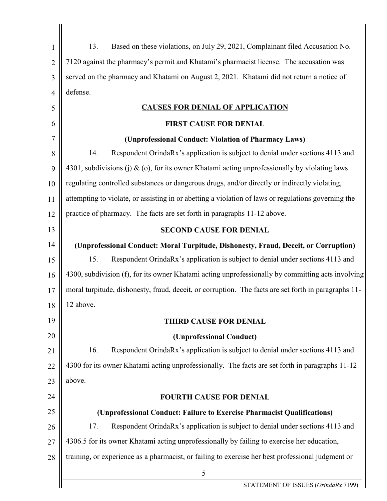| $\mathbf{1}$   | 13.<br>Based on these violations, on July 29, 2021, Complainant filed Accusation No.                 |  |
|----------------|------------------------------------------------------------------------------------------------------|--|
| $\overline{2}$ | 7120 against the pharmacy's permit and Khatami's pharmacist license. The accusation was              |  |
| 3              | served on the pharmacy and Khatami on August 2, 2021. Khatami did not return a notice of             |  |
| $\overline{4}$ | defense.                                                                                             |  |
| 5              | <b>CAUSES FOR DENIAL OF APPLICATION</b>                                                              |  |
| 6              | <b>FIRST CAUSE FOR DENIAL</b>                                                                        |  |
| $\overline{7}$ | (Unprofessional Conduct: Violation of Pharmacy Laws)                                                 |  |
| 8              | Respondent OrindaRx's application is subject to denial under sections 4113 and<br>14.                |  |
| 9              | 4301, subdivisions (j) $\&$ (o), for its owner Khatami acting unprofessionally by violating laws     |  |
| 10             | regulating controlled substances or dangerous drugs, and/or directly or indirectly violating,        |  |
| 11             | attempting to violate, or assisting in or abetting a violation of laws or regulations governing the  |  |
| 12             | practice of pharmacy. The facts are set forth in paragraphs 11-12 above.                             |  |
| 13             | <b>SECOND CAUSE FOR DENIAL</b>                                                                       |  |
| 14             | (Unprofessional Conduct: Moral Turpitude, Dishonesty, Fraud, Deceit, or Corruption)                  |  |
| 15             | 15.<br>Respondent OrindaRx's application is subject to denial under sections 4113 and                |  |
| 16             | 4300, subdivision (f), for its owner Khatami acting unprofessionally by committing acts involving    |  |
| 17             | moral turpitude, dishonesty, fraud, deceit, or corruption. The facts are set forth in paragraphs 11- |  |
| 18             | 12 above.                                                                                            |  |
| 19             | <b>THIRD CAUSE FOR DENIAL</b>                                                                        |  |
| 20             | (Unprofessional Conduct)                                                                             |  |
| 21             | 16.<br>Respondent OrindaRx's application is subject to denial under sections 4113 and                |  |
| 22             | 4300 for its owner Khatami acting unprofessionally. The facts are set forth in paragraphs 11-12      |  |
| 23             | above.                                                                                               |  |
| 24             | <b>FOURTH CAUSE FOR DENIAL</b>                                                                       |  |
| 25             | (Unprofessional Conduct: Failure to Exercise Pharmacist Qualifications)                              |  |
| 26             | 17.<br>Respondent OrindaRx's application is subject to denial under sections 4113 and                |  |
| 27             | 4306.5 for its owner Khatami acting unprofessionally by failing to exercise her education,           |  |
| 28             | training, or experience as a pharmacist, or failing to exercise her best professional judgment or    |  |
|                | 5                                                                                                    |  |
|                | STATEMENT OF ISSUES (OrindaRx 7199)                                                                  |  |